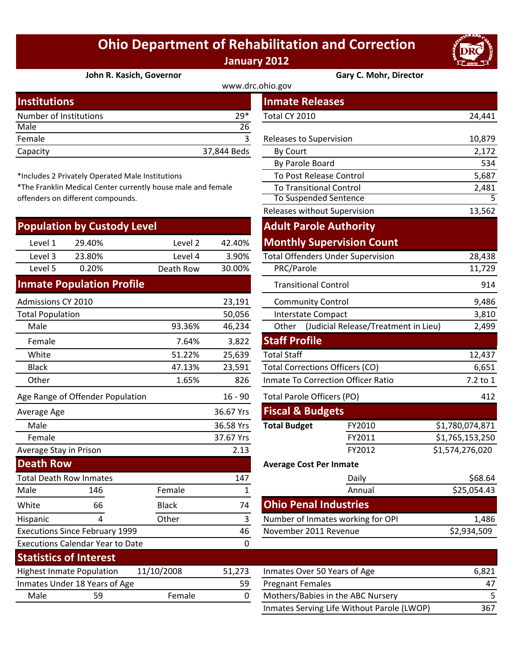## **Ohio Department of Rehabilitation and Correction January 2012**



## **John R. Kasich, Governor Gary C. Mohr, Director**

| www.drc.ohio.gov       |             |                                |        |  |
|------------------------|-------------|--------------------------------|--------|--|
| <b>Institutions</b>    |             | <b>Inmate Releases</b>         |        |  |
| Number of Institutions | $29*$       | Total CY 2010                  | 24,441 |  |
| Male                   | 26          |                                |        |  |
| Female                 |             | <b>Releases to Supervision</b> | 10,879 |  |
| Capacity               | 37,844 Beds | By Court                       | 2,172  |  |
|                        |             |                                |        |  |

\*Includes 2 Privately Operated Male Institutions

\*The Franklin Medical Center currently house male and female offenders on different compounds.

|                         | <b>Population by Custody Level</b>      |              |           | <b>Adult Parole Authority</b>                 |                                   |                 |
|-------------------------|-----------------------------------------|--------------|-----------|-----------------------------------------------|-----------------------------------|-----------------|
| Level 1                 | 29.40%                                  | Level 2      | 42.40%    |                                               | <b>Monthly Supervision Count</b>  |                 |
| Level 3                 | 23.80%                                  | Level 4      | 3.90%     | <b>Total Offenders Under Supervision</b>      |                                   | 28,438          |
| Level 5                 | 0.20%                                   | Death Row    | 30.00%    | PRC/Parole                                    |                                   | 11,729          |
|                         | <b>Inmate Population Profile</b>        |              |           | <b>Transitional Control</b>                   |                                   | 914             |
| Admissions CY 2010      |                                         |              | 23,191    | <b>Community Control</b>                      |                                   | 9,486           |
| <b>Total Population</b> |                                         |              | 50,056    | <b>Interstate Compact</b>                     |                                   | 3,810           |
| Male                    |                                         | 93.36%       | 46,234    | (Judicial Release/Treatment in Lieu)<br>Other |                                   | 2,499           |
| Female                  |                                         | 7.64%        | 3,822     | <b>Staff Profile</b>                          |                                   |                 |
| White                   |                                         | 51.22%       | 25,639    | <b>Total Staff</b>                            |                                   | 12,437          |
| <b>Black</b>            |                                         | 47.13%       | 23,591    | <b>Total Corrections Officers (CO)</b>        |                                   | 6,651           |
| Other                   |                                         | 1.65%        | 826       | Inmate To Correction Officer Ratio            |                                   | 7.2 to 1        |
|                         | Age Range of Offender Population        |              | $16 - 90$ | <b>Total Parole Officers (PO)</b>             |                                   | 412             |
| Average Age             |                                         |              | 36.67 Yrs | <b>Fiscal &amp; Budgets</b>                   |                                   |                 |
| Male                    |                                         |              | 36.58 Yrs | <b>Total Budget</b>                           | FY2010                            | \$1,780,074,871 |
| Female                  |                                         |              | 37.67 Yrs |                                               | FY2011                            | \$1,765,153,250 |
| Average Stay in Prison  |                                         |              | 2.13      |                                               | FY2012                            | \$1,574,276,020 |
| <b>Death Row</b>        |                                         |              |           | <b>Average Cost Per Inmate</b>                |                                   |                 |
|                         | <b>Total Death Row Inmates</b>          |              | 147       |                                               | Daily                             | \$68.64         |
| Male                    | 146                                     | Female       | 1         |                                               | Annual                            | \$25,054.43     |
| White                   | 66                                      | <b>Black</b> | 74        | <b>Ohio Penal Industries</b>                  |                                   |                 |
| Hispanic                | 4                                       | Other        | 3         | Number of Inmates working for OPI             |                                   | 1,486           |
|                         | <b>Executions Since February 1999</b>   |              | 46        | November 2011 Revenue                         |                                   | \$2,934,509     |
|                         | <b>Executions Calendar Year to Date</b> |              | 0         |                                               |                                   |                 |
|                         | <b>Statistics of Interest</b>           |              |           |                                               |                                   |                 |
|                         | <b>Highest Inmate Population</b>        | 11/10/2008   | 51,273    | Inmates Over 50 Years of Age                  |                                   | 6,821           |
|                         | Inmates Under 18 Years of Age           |              | 59        | <b>Pregnant Females</b>                       |                                   | 47              |
| Male                    | 59                                      | Female       | 0         |                                               | Mothers/Babies in the ABC Nursery | 5               |

| stitutions                                                |              |              | <b>Inmate Releases</b>                   |                                            |                 |
|-----------------------------------------------------------|--------------|--------------|------------------------------------------|--------------------------------------------|-----------------|
| mber of Institutions                                      |              | 29*          | Total CY 2010                            |                                            | 24,441          |
| le                                                        |              | 26           |                                          |                                            |                 |
| nale                                                      |              | 3            | Releases to Supervision                  |                                            | 10,879          |
| acity                                                     |              | 37,844 Beds  | By Court                                 |                                            | 2,172           |
|                                                           |              |              | By Parole Board                          |                                            | 534             |
| cludes 2 Privately Operated Male Institutions             |              |              | To Post Release Control                  |                                            | 5,687           |
| e Franklin Medical Center currently house male and female |              |              | <b>To Transitional Control</b>           |                                            | 2,481           |
| nders on different compounds.                             |              |              | <b>To Suspended Sentence</b>             |                                            | 5               |
|                                                           |              |              | Releases without Supervision             |                                            | 13,562          |
| pulation by Custody Level                                 |              |              | <b>Adult Parole Authority</b>            |                                            |                 |
| Level 1<br>29.40%                                         | Level 2      | 42.40%       |                                          | <b>Monthly Supervision Count</b>           |                 |
| Level 3<br>23.80%                                         | Level 4      | 3.90%        | <b>Total Offenders Under Supervision</b> |                                            | 28,438          |
| Level 5<br>0.20%                                          | Death Row    | 30.00%       | PRC/Parole                               |                                            | 11,729          |
| nate Population Profile                                   |              |              | <b>Transitional Control</b>              |                                            | 914             |
| nissions CY 2010                                          |              | 23,191       | <b>Community Control</b>                 |                                            | 9,486           |
| al Population                                             |              | 50,056       | Interstate Compact                       |                                            | 3,810           |
| Male                                                      | 93.36%       | 46,234       |                                          | Other (Judicial Release/Treatment in Lieu) | 2,499           |
| Female                                                    | 7.64%        | 3,822        | <b>Staff Profile</b>                     |                                            |                 |
| White                                                     | 51.22%       | 25,639       | <b>Total Staff</b>                       |                                            | 12,437          |
| <b>Black</b>                                              | 47.13%       | 23,591       | <b>Total Corrections Officers (CO)</b>   |                                            | 6,651           |
| <b>Other</b>                                              | 1.65%        | 826          | Inmate To Correction Officer Ratio       |                                            | 7.2 to 1        |
| Range of Offender Population                              |              | $16 - 90$    | <b>Total Parole Officers (PO)</b>        |                                            | 412             |
| erage Age                                                 |              | 36.67 Yrs    | <b>Fiscal &amp; Budgets</b>              |                                            |                 |
| Vlale                                                     |              | 36.58 Yrs    | <b>Total Budget</b>                      | FY2010                                     | \$1,780,074,871 |
| Female                                                    |              | 37.67 Yrs    |                                          | FY2011                                     | \$1,765,153,250 |
| rage Stay in Prison                                       |              | 2.13         |                                          | FY2012                                     | \$1,574,276,020 |
| ath Row                                                   |              |              | <b>Average Cost Per Inmate</b>           |                                            |                 |
| al Death Row Inmates                                      |              | 147          |                                          | Daily                                      | \$68.64         |
| le<br>146                                                 | Female       | $\mathbf{1}$ |                                          | Annual                                     | \$25,054.43     |
| ite<br>66                                                 | <b>Black</b> | 74           | <b>Ohio Penal Industries</b>             |                                            |                 |
| 4<br>panic                                                | Other        | 3            |                                          | Number of Inmates working for OPI          | 1,486           |
| cutions Since February 1999                               |              | 46           | November 2011 Revenue                    |                                            | \$2,934,509     |
| cutions Calendar Year to Date                             |              | $\mathbf 0$  |                                          |                                            |                 |

| 51,273 | Inmates Over 50 Years of Age               | 6.821 |
|--------|--------------------------------------------|-------|
| 59     | <b>Pregnant Females</b>                    | 47    |
| 0      | Mothers/Babies in the ABC Nursery          |       |
|        | Inmates Serving Life Without Parole (LWOP) | 367   |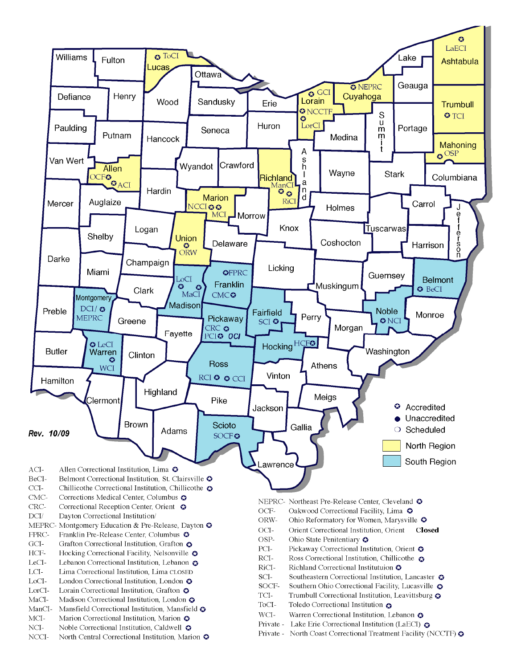